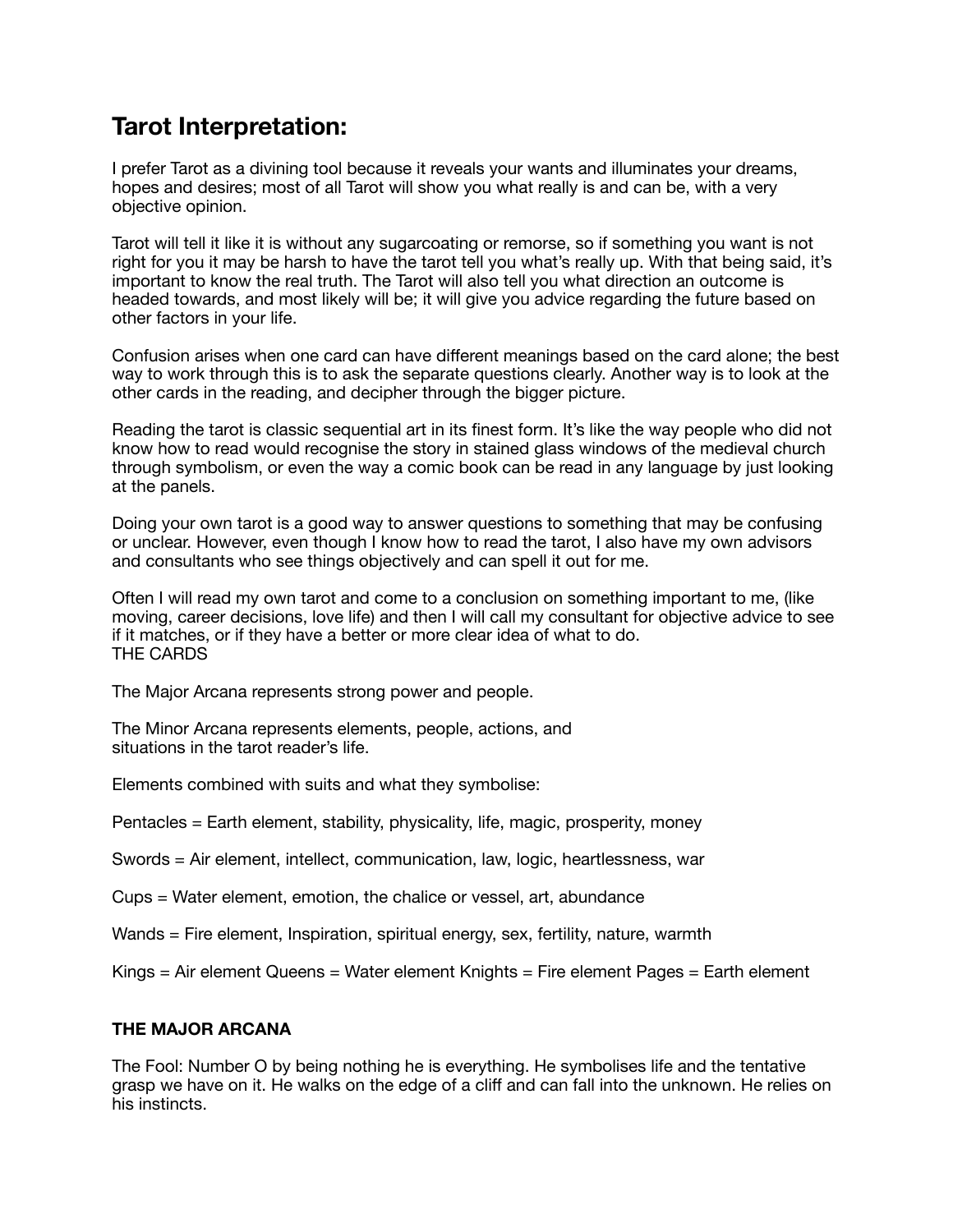# **Tarot Interpretation:**

I prefer Tarot as a divining tool because it reveals your wants and illuminates your dreams, hopes and desires; most of all Tarot will show you what really is and can be, with a very objective opinion.

Tarot will tell it like it is without any sugarcoating or remorse, so if something you want is not right for you it may be harsh to have the tarot tell you what's really up. With that being said, it's important to know the real truth. The Tarot will also tell you what direction an outcome is headed towards, and most likely will be; it will give you advice regarding the future based on other factors in your life.

Confusion arises when one card can have different meanings based on the card alone; the best way to work through this is to ask the separate questions clearly. Another way is to look at the other cards in the reading, and decipher through the bigger picture.

Reading the tarot is classic sequential art in its finest form. It's like the way people who did not know how to read would recognise the story in stained glass windows of the medieval church through symbolism, or even the way a comic book can be read in any language by just looking at the panels.

Doing your own tarot is a good way to answer questions to something that may be confusing or unclear. However, even though I know how to read the tarot, I also have my own advisors and consultants who see things objectively and can spell it out for me.

Often I will read my own tarot and come to a conclusion on something important to me, (like moving, career decisions, love life) and then I will call my consultant for objective advice to see if it matches, or if they have a better or more clear idea of what to do. THE CARDS

The Major Arcana represents strong power and people.

The Minor Arcana represents elements, people, actions, and situations in the tarot reader's life.

Elements combined with suits and what they symbolise:

Pentacles = Earth element, stability, physicality, life, magic, prosperity, money

Swords = Air element, intellect, communication, law, logic, heartlessness, war

- Cups = Water element, emotion, the chalice or vessel, art, abundance
- Wands = Fire element, Inspiration, spiritual energy, sex, fertility, nature, warmth

Kings = Air element Queens = Water element Knights = Fire element Pages = Earth element

#### **THE MAJOR ARCANA**

The Fool: Number O by being nothing he is everything. He symbolises life and the tentative grasp we have on it. He walks on the edge of a cliff and can fall into the unknown. He relies on his instincts.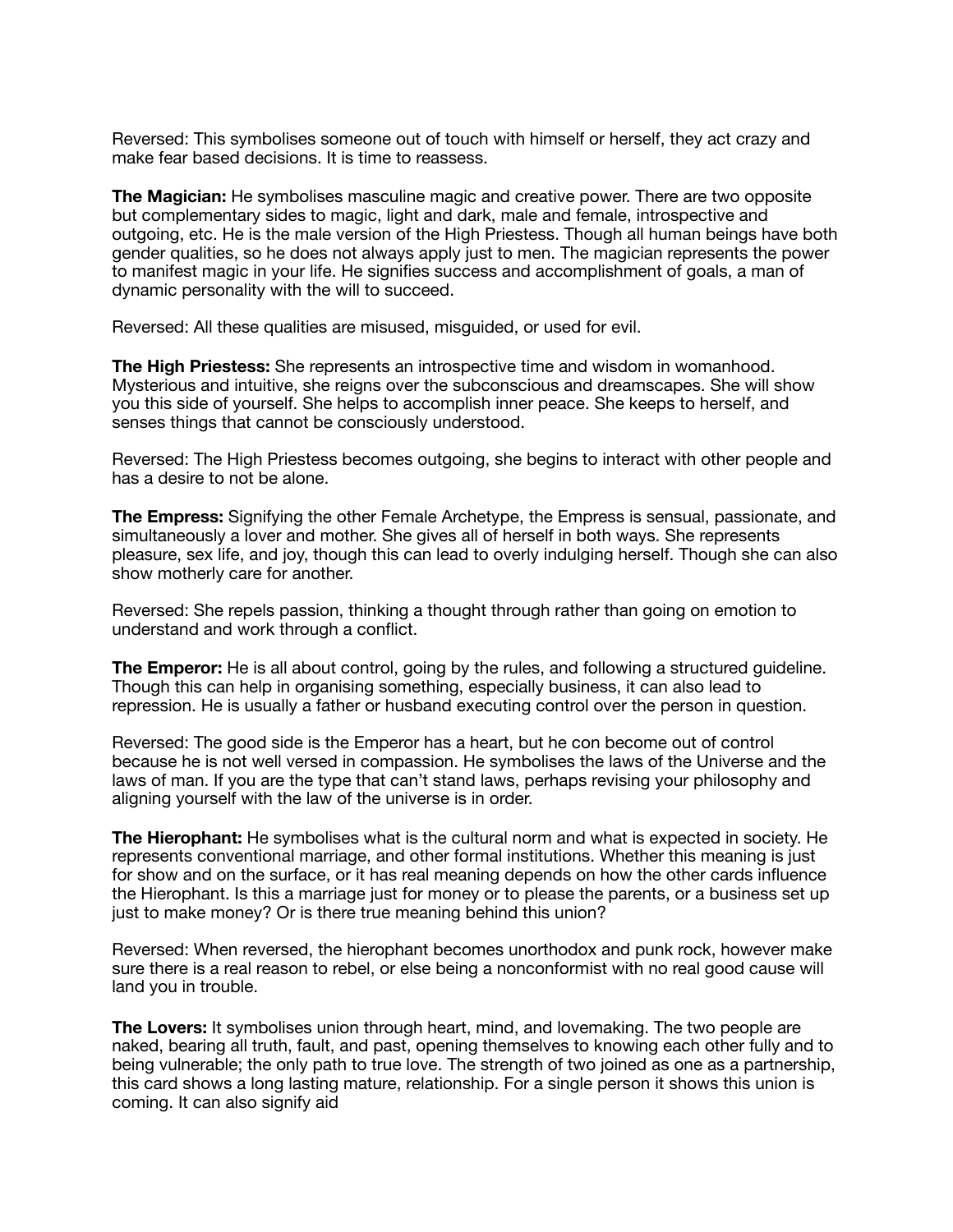Reversed: This symbolises someone out of touch with himself or herself, they act crazy and make fear based decisions. It is time to reassess.

**The Magician:** He symbolises masculine magic and creative power. There are two opposite but complementary sides to magic, light and dark, male and female, introspective and outgoing, etc. He is the male version of the High Priestess. Though all human beings have both gender qualities, so he does not always apply just to men. The magician represents the power to manifest magic in your life. He signifies success and accomplishment of goals, a man of dynamic personality with the will to succeed.

Reversed: All these qualities are misused, misguided, or used for evil.

**The High Priestess:** She represents an introspective time and wisdom in womanhood. Mysterious and intuitive, she reigns over the subconscious and dreamscapes. She will show you this side of yourself. She helps to accomplish inner peace. She keeps to herself, and senses things that cannot be consciously understood.

Reversed: The High Priestess becomes outgoing, she begins to interact with other people and has a desire to not be alone.

**The Empress:** Signifying the other Female Archetype, the Empress is sensual, passionate, and simultaneously a lover and mother. She gives all of herself in both ways. She represents pleasure, sex life, and joy, though this can lead to overly indulging herself. Though she can also show motherly care for another.

Reversed: She repels passion, thinking a thought through rather than going on emotion to understand and work through a conflict.

**The Emperor:** He is all about control, going by the rules, and following a structured guideline. Though this can help in organising something, especially business, it can also lead to repression. He is usually a father or husband executing control over the person in question.

Reversed: The good side is the Emperor has a heart, but he con become out of control because he is not well versed in compassion. He symbolises the laws of the Universe and the laws of man. If you are the type that can't stand laws, perhaps revising your philosophy and aligning yourself with the law of the universe is in order.

**The Hierophant:** He symbolises what is the cultural norm and what is expected in society. He represents conventional marriage, and other formal institutions. Whether this meaning is just for show and on the surface, or it has real meaning depends on how the other cards influence the Hierophant. Is this a marriage just for money or to please the parents, or a business set up just to make money? Or is there true meaning behind this union?

Reversed: When reversed, the hierophant becomes unorthodox and punk rock, however make sure there is a real reason to rebel, or else being a nonconformist with no real good cause will land you in trouble.

**The Lovers:** It symbolises union through heart, mind, and lovemaking. The two people are naked, bearing all truth, fault, and past, opening themselves to knowing each other fully and to being vulnerable; the only path to true love. The strength of two joined as one as a partnership, this card shows a long lasting mature, relationship. For a single person it shows this union is coming. It can also signify aid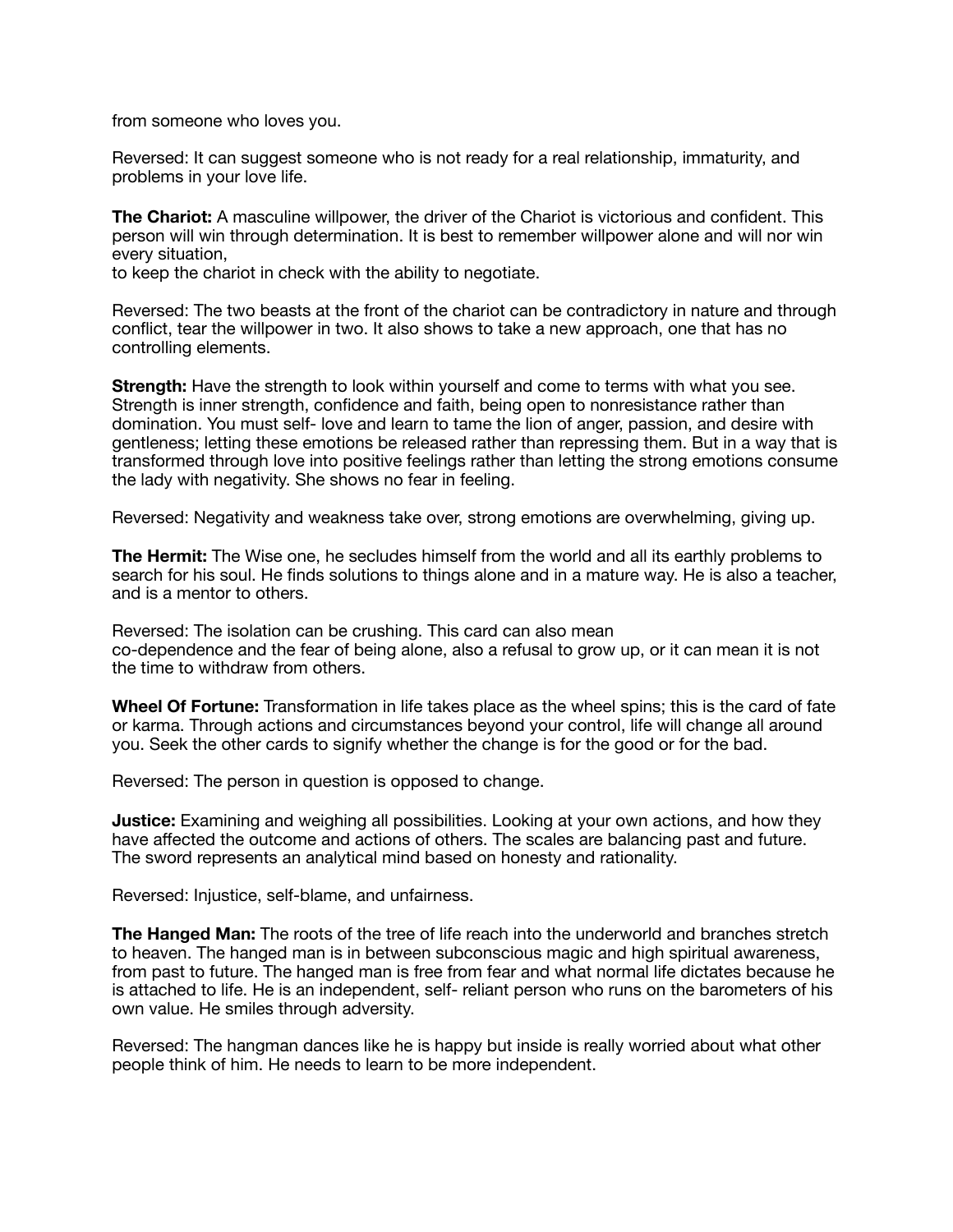from someone who loves you.

Reversed: It can suggest someone who is not ready for a real relationship, immaturity, and problems in your love life.

**The Chariot:** A masculine willpower, the driver of the Chariot is victorious and confident. This person will win through determination. It is best to remember willpower alone and will nor win every situation,

to keep the chariot in check with the ability to negotiate.

Reversed: The two beasts at the front of the chariot can be contradictory in nature and through conflict, tear the willpower in two. It also shows to take a new approach, one that has no controlling elements.

**Strength:** Have the strength to look within yourself and come to terms with what you see. Strength is inner strength, confidence and faith, being open to nonresistance rather than domination. You must self- love and learn to tame the lion of anger, passion, and desire with gentleness; letting these emotions be released rather than repressing them. But in a way that is transformed through love into positive feelings rather than letting the strong emotions consume the lady with negativity. She shows no fear in feeling.

Reversed: Negativity and weakness take over, strong emotions are overwhelming, giving up.

**The Hermit:** The Wise one, he secludes himself from the world and all its earthly problems to search for his soul. He finds solutions to things alone and in a mature way. He is also a teacher, and is a mentor to others.

Reversed: The isolation can be crushing. This card can also mean co-dependence and the fear of being alone, also a refusal to grow up, or it can mean it is not the time to withdraw from others.

**Wheel Of Fortune:** Transformation in life takes place as the wheel spins; this is the card of fate or karma. Through actions and circumstances beyond your control, life will change all around you. Seek the other cards to signify whether the change is for the good or for the bad.

Reversed: The person in question is opposed to change.

**Justice:** Examining and weighing all possibilities. Looking at your own actions, and how they have affected the outcome and actions of others. The scales are balancing past and future. The sword represents an analytical mind based on honesty and rationality.

Reversed: Injustice, self-blame, and unfairness.

**The Hanged Man:** The roots of the tree of life reach into the underworld and branches stretch to heaven. The hanged man is in between subconscious magic and high spiritual awareness, from past to future. The hanged man is free from fear and what normal life dictates because he is attached to life. He is an independent, self- reliant person who runs on the barometers of his own value. He smiles through adversity.

Reversed: The hangman dances like he is happy but inside is really worried about what other people think of him. He needs to learn to be more independent.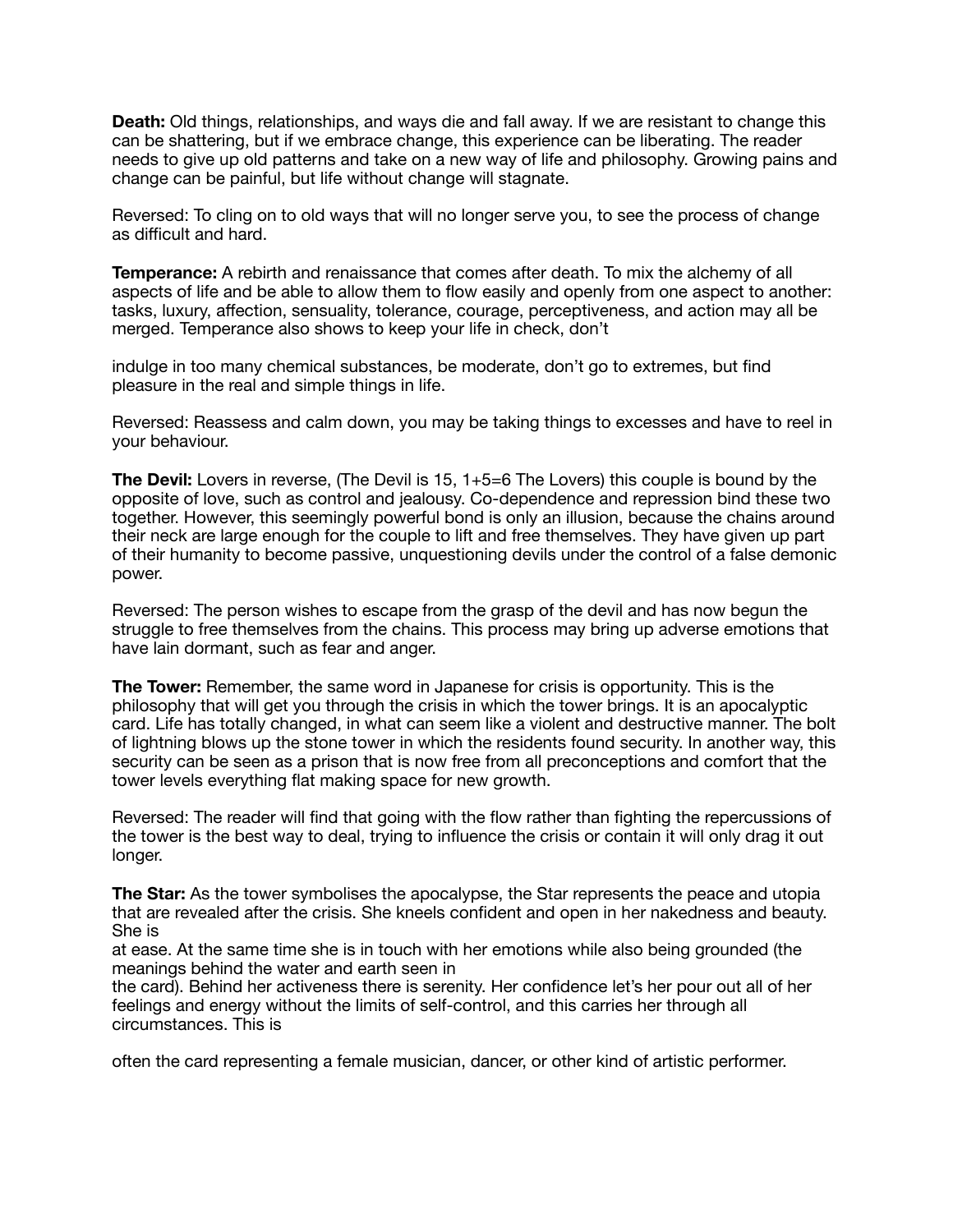**Death:** Old things, relationships, and ways die and fall away. If we are resistant to change this can be shattering, but if we embrace change, this experience can be liberating. The reader needs to give up old patterns and take on a new way of life and philosophy. Growing pains and change can be painful, but life without change will stagnate.

Reversed: To cling on to old ways that will no longer serve you, to see the process of change as difficult and hard.

**Temperance:** A rebirth and renaissance that comes after death. To mix the alchemy of all aspects of life and be able to allow them to flow easily and openly from one aspect to another: tasks, luxury, affection, sensuality, tolerance, courage, perceptiveness, and action may all be merged. Temperance also shows to keep your life in check, don't

indulge in too many chemical substances, be moderate, don't go to extremes, but find pleasure in the real and simple things in life.

Reversed: Reassess and calm down, you may be taking things to excesses and have to reel in your behaviour.

**The Devil:** Lovers in reverse, (The Devil is 15, 1+5=6 The Lovers) this couple is bound by the opposite of love, such as control and jealousy. Co-dependence and repression bind these two together. However, this seemingly powerful bond is only an illusion, because the chains around their neck are large enough for the couple to lift and free themselves. They have given up part of their humanity to become passive, unquestioning devils under the control of a false demonic power.

Reversed: The person wishes to escape from the grasp of the devil and has now begun the struggle to free themselves from the chains. This process may bring up adverse emotions that have lain dormant, such as fear and anger.

**The Tower:** Remember, the same word in Japanese for crisis is opportunity. This is the philosophy that will get you through the crisis in which the tower brings. It is an apocalyptic card. Life has totally changed, in what can seem like a violent and destructive manner. The bolt of lightning blows up the stone tower in which the residents found security. In another way, this security can be seen as a prison that is now free from all preconceptions and comfort that the tower levels everything flat making space for new growth.

Reversed: The reader will find that going with the flow rather than fighting the repercussions of the tower is the best way to deal, trying to influence the crisis or contain it will only drag it out longer.

**The Star:** As the tower symbolises the apocalypse, the Star represents the peace and utopia that are revealed after the crisis. She kneels confident and open in her nakedness and beauty. She is

at ease. At the same time she is in touch with her emotions while also being grounded (the meanings behind the water and earth seen in

the card). Behind her activeness there is serenity. Her confidence let's her pour out all of her feelings and energy without the limits of self-control, and this carries her through all circumstances. This is

often the card representing a female musician, dancer, or other kind of artistic performer.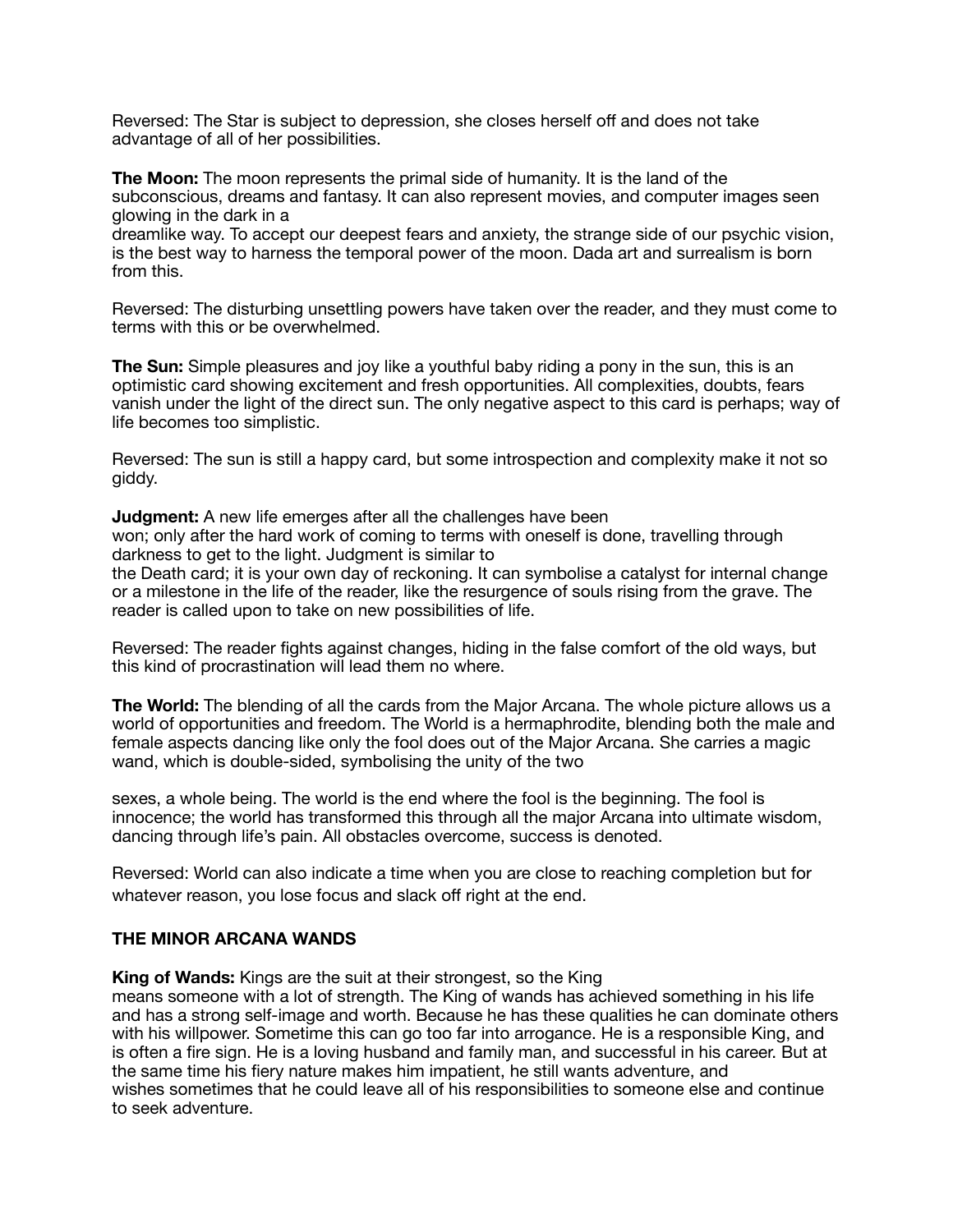Reversed: The Star is subject to depression, she closes herself off and does not take advantage of all of her possibilities.

**The Moon:** The moon represents the primal side of humanity. It is the land of the subconscious, dreams and fantasy. It can also represent movies, and computer images seen glowing in the dark in a

dreamlike way. To accept our deepest fears and anxiety, the strange side of our psychic vision, is the best way to harness the temporal power of the moon. Dada art and surrealism is born from this.

Reversed: The disturbing unsettling powers have taken over the reader, and they must come to terms with this or be overwhelmed.

**The Sun:** Simple pleasures and joy like a youthful baby riding a pony in the sun, this is an optimistic card showing excitement and fresh opportunities. All complexities, doubts, fears vanish under the light of the direct sun. The only negative aspect to this card is perhaps; way of life becomes too simplistic.

Reversed: The sun is still a happy card, but some introspection and complexity make it not so giddy.

**Judgment:** A new life emerges after all the challenges have been won; only after the hard work of coming to terms with oneself is done, travelling through darkness to get to the light. Judgment is similar to the Death card; it is your own day of reckoning. It can symbolise a catalyst for internal change

or a milestone in the life of the reader, like the resurgence of souls rising from the grave. The reader is called upon to take on new possibilities of life.

Reversed: The reader fights against changes, hiding in the false comfort of the old ways, but this kind of procrastination will lead them no where.

**The World:** The blending of all the cards from the Major Arcana. The whole picture allows us a world of opportunities and freedom. The World is a hermaphrodite, blending both the male and female aspects dancing like only the fool does out of the Major Arcana. She carries a magic wand, which is double-sided, symbolising the unity of the two

sexes, a whole being. The world is the end where the fool is the beginning. The fool is innocence; the world has transformed this through all the major Arcana into ultimate wisdom, dancing through life's pain. All obstacles overcome, success is denoted.

Reversed: World can also indicate a time when you are close to reaching completion but for whatever reason, you lose focus and slack off right at the end.

#### **THE MINOR ARCANA WANDS**

**King of Wands:** Kings are the suit at their strongest, so the King

means someone with a lot of strength. The King of wands has achieved something in his life and has a strong self-image and worth. Because he has these qualities he can dominate others with his willpower. Sometime this can go too far into arrogance. He is a responsible King, and is often a fire sign. He is a loving husband and family man, and successful in his career. But at the same time his fiery nature makes him impatient, he still wants adventure, and wishes sometimes that he could leave all of his responsibilities to someone else and continue to seek adventure.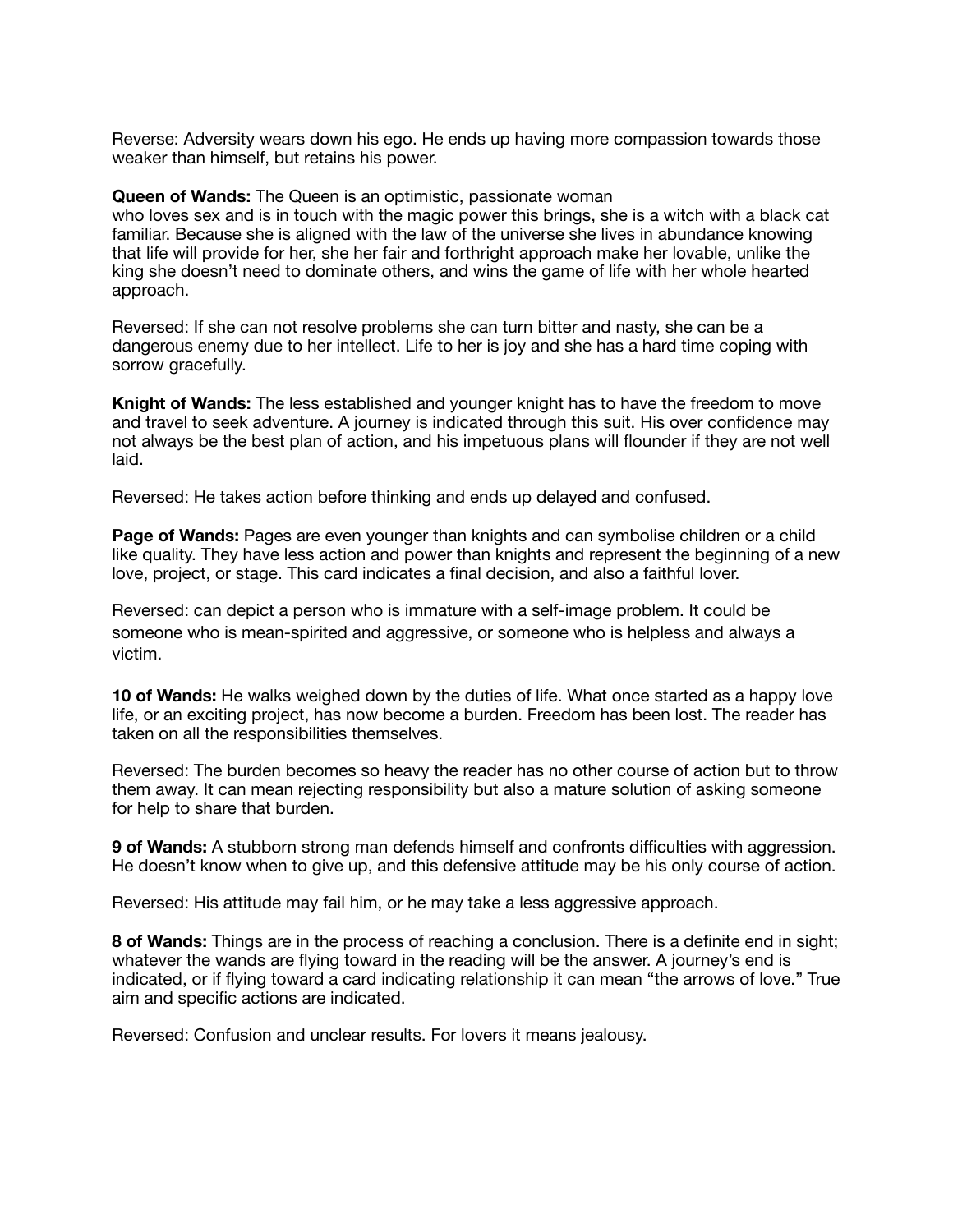Reverse: Adversity wears down his ego. He ends up having more compassion towards those weaker than himself, but retains his power.

**Queen of Wands:** The Queen is an optimistic, passionate woman who loves sex and is in touch with the magic power this brings, she is a witch with a black cat familiar. Because she is aligned with the law of the universe she lives in abundance knowing that life will provide for her, she her fair and forthright approach make her lovable, unlike the king she doesn't need to dominate others, and wins the game of life with her whole hearted approach.

Reversed: If she can not resolve problems she can turn bitter and nasty, she can be a dangerous enemy due to her intellect. Life to her is joy and she has a hard time coping with sorrow gracefully.

**Knight of Wands:** The less established and younger knight has to have the freedom to move and travel to seek adventure. A journey is indicated through this suit. His over confidence may not always be the best plan of action, and his impetuous plans will flounder if they are not well laid.

Reversed: He takes action before thinking and ends up delayed and confused.

**Page of Wands:** Pages are even younger than knights and can symbolise children or a child like quality. They have less action and power than knights and represent the beginning of a new love, project, or stage. This card indicates a final decision, and also a faithful lover.

Reversed: can depict a person who is immature with a self-image problem. It could be someone who is mean-spirited and aggressive, or someone who is helpless and always a victim.

**10 of Wands:** He walks weighed down by the duties of life. What once started as a happy love life, or an exciting project, has now become a burden. Freedom has been lost. The reader has taken on all the responsibilities themselves.

Reversed: The burden becomes so heavy the reader has no other course of action but to throw them away. It can mean rejecting responsibility but also a mature solution of asking someone for help to share that burden.

**9 of Wands:** A stubborn strong man defends himself and confronts difficulties with aggression. He doesn't know when to give up, and this defensive attitude may be his only course of action.

Reversed: His attitude may fail him, or he may take a less aggressive approach.

**8 of Wands:** Things are in the process of reaching a conclusion. There is a definite end in sight; whatever the wands are flying toward in the reading will be the answer. A journey's end is indicated, or if flying toward a card indicating relationship it can mean "the arrows of love." True aim and specific actions are indicated.

Reversed: Confusion and unclear results. For lovers it means jealousy.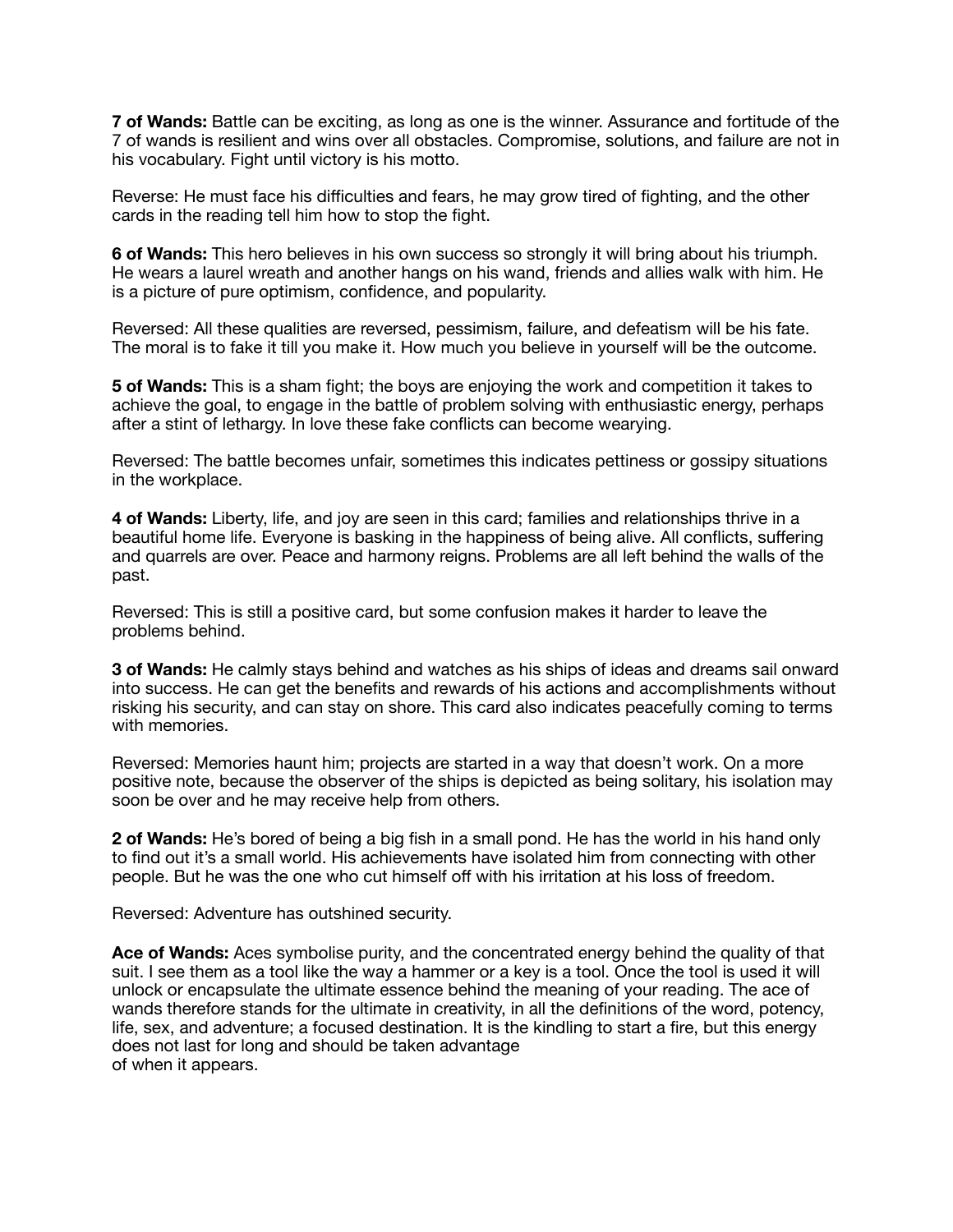**7 of Wands:** Battle can be exciting, as long as one is the winner. Assurance and fortitude of the 7 of wands is resilient and wins over all obstacles. Compromise, solutions, and failure are not in his vocabulary. Fight until victory is his motto.

Reverse: He must face his difficulties and fears, he may grow tired of fighting, and the other cards in the reading tell him how to stop the fight.

**6 of Wands:** This hero believes in his own success so strongly it will bring about his triumph. He wears a laurel wreath and another hangs on his wand, friends and allies walk with him. He is a picture of pure optimism, confidence, and popularity.

Reversed: All these qualities are reversed, pessimism, failure, and defeatism will be his fate. The moral is to fake it till you make it. How much you believe in yourself will be the outcome.

**5 of Wands:** This is a sham fight; the boys are enjoying the work and competition it takes to achieve the goal, to engage in the battle of problem solving with enthusiastic energy, perhaps after a stint of lethargy. In love these fake conflicts can become wearying.

Reversed: The battle becomes unfair, sometimes this indicates pettiness or gossipy situations in the workplace.

**4 of Wands:** Liberty, life, and joy are seen in this card; families and relationships thrive in a beautiful home life. Everyone is basking in the happiness of being alive. All conflicts, suffering and quarrels are over. Peace and harmony reigns. Problems are all left behind the walls of the past.

Reversed: This is still a positive card, but some confusion makes it harder to leave the problems behind.

**3 of Wands:** He calmly stays behind and watches as his ships of ideas and dreams sail onward into success. He can get the benefits and rewards of his actions and accomplishments without risking his security, and can stay on shore. This card also indicates peacefully coming to terms with memories.

Reversed: Memories haunt him; projects are started in a way that doesn't work. On a more positive note, because the observer of the ships is depicted as being solitary, his isolation may soon be over and he may receive help from others.

**2 of Wands:** He's bored of being a big fish in a small pond. He has the world in his hand only to find out it's a small world. His achievements have isolated him from connecting with other people. But he was the one who cut himself off with his irritation at his loss of freedom.

Reversed: Adventure has outshined security.

**Ace of Wands:** Aces symbolise purity, and the concentrated energy behind the quality of that suit. I see them as a tool like the way a hammer or a key is a tool. Once the tool is used it will unlock or encapsulate the ultimate essence behind the meaning of your reading. The ace of wands therefore stands for the ultimate in creativity, in all the definitions of the word, potency, life, sex, and adventure; a focused destination. It is the kindling to start a fire, but this energy does not last for long and should be taken advantage of when it appears.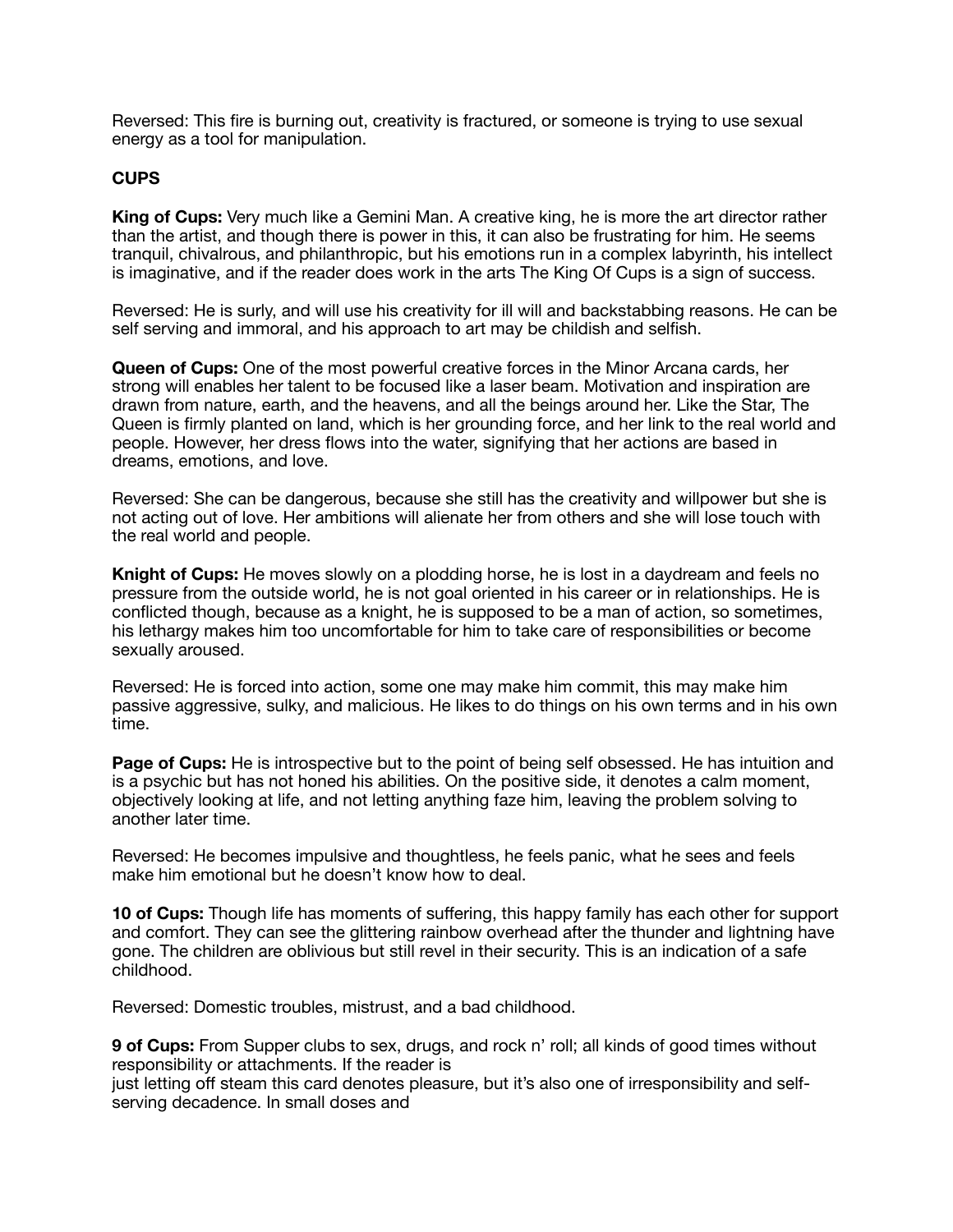Reversed: This fire is burning out, creativity is fractured, or someone is trying to use sexual energy as a tool for manipulation.

### **CUPS**

**King of Cups:** Very much like a Gemini Man. A creative king, he is more the art director rather than the artist, and though there is power in this, it can also be frustrating for him. He seems tranquil, chivalrous, and philanthropic, but his emotions run in a complex labyrinth, his intellect is imaginative, and if the reader does work in the arts The King Of Cups is a sign of success.

Reversed: He is surly, and will use his creativity for ill will and backstabbing reasons. He can be self serving and immoral, and his approach to art may be childish and selfish.

**Queen of Cups:** One of the most powerful creative forces in the Minor Arcana cards, her strong will enables her talent to be focused like a laser beam. Motivation and inspiration are drawn from nature, earth, and the heavens, and all the beings around her. Like the Star, The Queen is firmly planted on land, which is her grounding force, and her link to the real world and people. However, her dress flows into the water, signifying that her actions are based in dreams, emotions, and love.

Reversed: She can be dangerous, because she still has the creativity and willpower but she is not acting out of love. Her ambitions will alienate her from others and she will lose touch with the real world and people.

**Knight of Cups:** He moves slowly on a plodding horse, he is lost in a daydream and feels no pressure from the outside world, he is not goal oriented in his career or in relationships. He is conflicted though, because as a knight, he is supposed to be a man of action, so sometimes, his lethargy makes him too uncomfortable for him to take care of responsibilities or become sexually aroused.

Reversed: He is forced into action, some one may make him commit, this may make him passive aggressive, sulky, and malicious. He likes to do things on his own terms and in his own time.

**Page of Cups:** He is introspective but to the point of being self obsessed. He has intuition and is a psychic but has not honed his abilities. On the positive side, it denotes a calm moment, objectively looking at life, and not letting anything faze him, leaving the problem solving to another later time.

Reversed: He becomes impulsive and thoughtless, he feels panic, what he sees and feels make him emotional but he doesn't know how to deal.

**10 of Cups:** Though life has moments of suffering, this happy family has each other for support and comfort. They can see the glittering rainbow overhead after the thunder and lightning have gone. The children are oblivious but still revel in their security. This is an indication of a safe childhood.

Reversed: Domestic troubles, mistrust, and a bad childhood.

**9 of Cups:** From Supper clubs to sex, drugs, and rock n' roll; all kinds of good times without responsibility or attachments. If the reader is

just letting off steam this card denotes pleasure, but it's also one of irresponsibility and selfserving decadence. In small doses and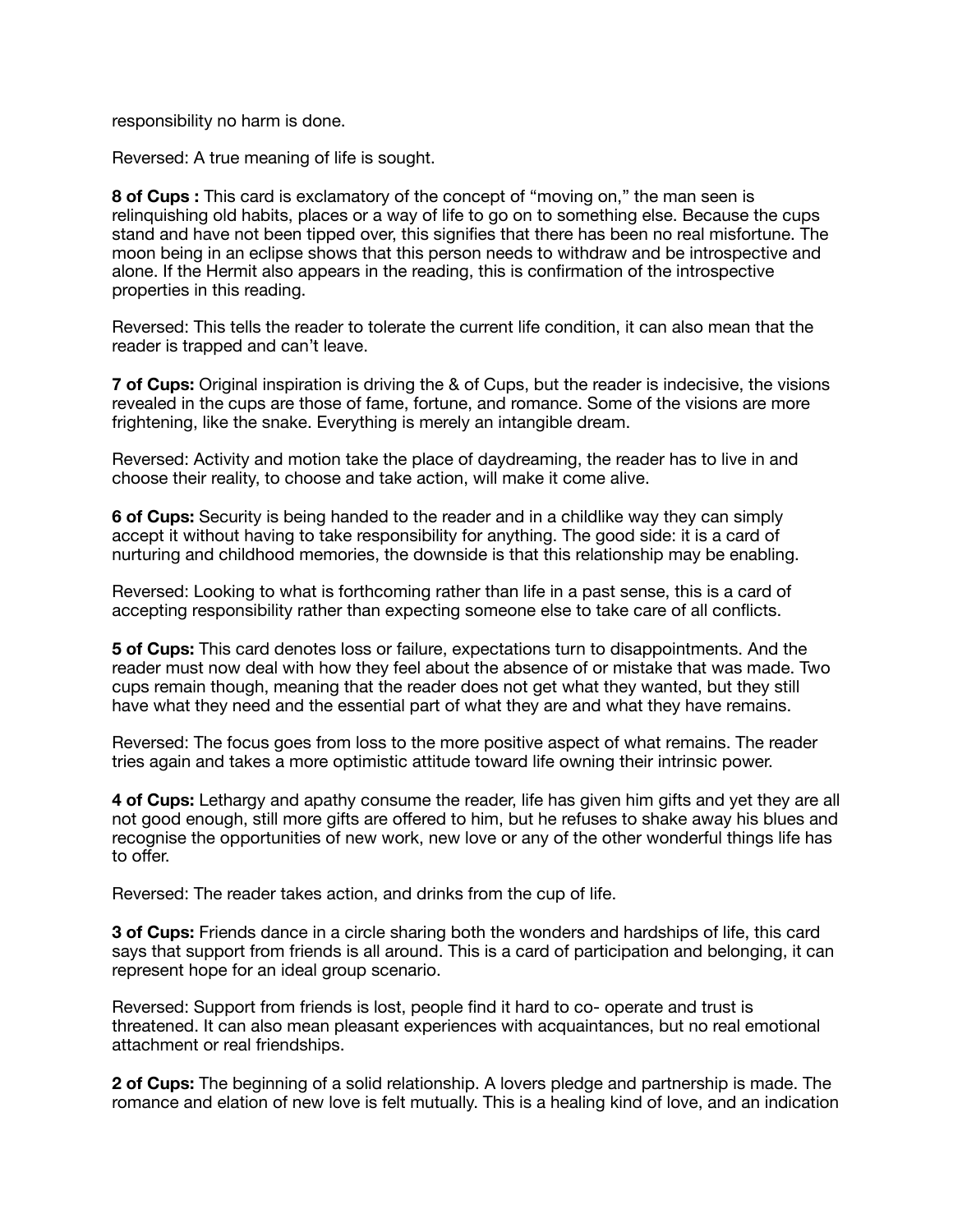responsibility no harm is done.

Reversed: A true meaning of life is sought.

**8 of Cups :** This card is exclamatory of the concept of "moving on," the man seen is relinquishing old habits, places or a way of life to go on to something else. Because the cups stand and have not been tipped over, this signifies that there has been no real misfortune. The moon being in an eclipse shows that this person needs to withdraw and be introspective and alone. If the Hermit also appears in the reading, this is confirmation of the introspective properties in this reading.

Reversed: This tells the reader to tolerate the current life condition, it can also mean that the reader is trapped and can't leave.

**7 of Cups:** Original inspiration is driving the & of Cups, but the reader is indecisive, the visions revealed in the cups are those of fame, fortune, and romance. Some of the visions are more frightening, like the snake. Everything is merely an intangible dream.

Reversed: Activity and motion take the place of daydreaming, the reader has to live in and choose their reality, to choose and take action, will make it come alive.

**6 of Cups:** Security is being handed to the reader and in a childlike way they can simply accept it without having to take responsibility for anything. The good side: it is a card of nurturing and childhood memories, the downside is that this relationship may be enabling.

Reversed: Looking to what is forthcoming rather than life in a past sense, this is a card of accepting responsibility rather than expecting someone else to take care of all conflicts.

**5 of Cups:** This card denotes loss or failure, expectations turn to disappointments. And the reader must now deal with how they feel about the absence of or mistake that was made. Two cups remain though, meaning that the reader does not get what they wanted, but they still have what they need and the essential part of what they are and what they have remains.

Reversed: The focus goes from loss to the more positive aspect of what remains. The reader tries again and takes a more optimistic attitude toward life owning their intrinsic power.

**4 of Cups:** Lethargy and apathy consume the reader, life has given him gifts and yet they are all not good enough, still more gifts are offered to him, but he refuses to shake away his blues and recognise the opportunities of new work, new love or any of the other wonderful things life has to offer.

Reversed: The reader takes action, and drinks from the cup of life.

**3 of Cups:** Friends dance in a circle sharing both the wonders and hardships of life, this card says that support from friends is all around. This is a card of participation and belonging, it can represent hope for an ideal group scenario.

Reversed: Support from friends is lost, people find it hard to co- operate and trust is threatened. It can also mean pleasant experiences with acquaintances, but no real emotional attachment or real friendships.

**2 of Cups:** The beginning of a solid relationship. A lovers pledge and partnership is made. The romance and elation of new love is felt mutually. This is a healing kind of love, and an indication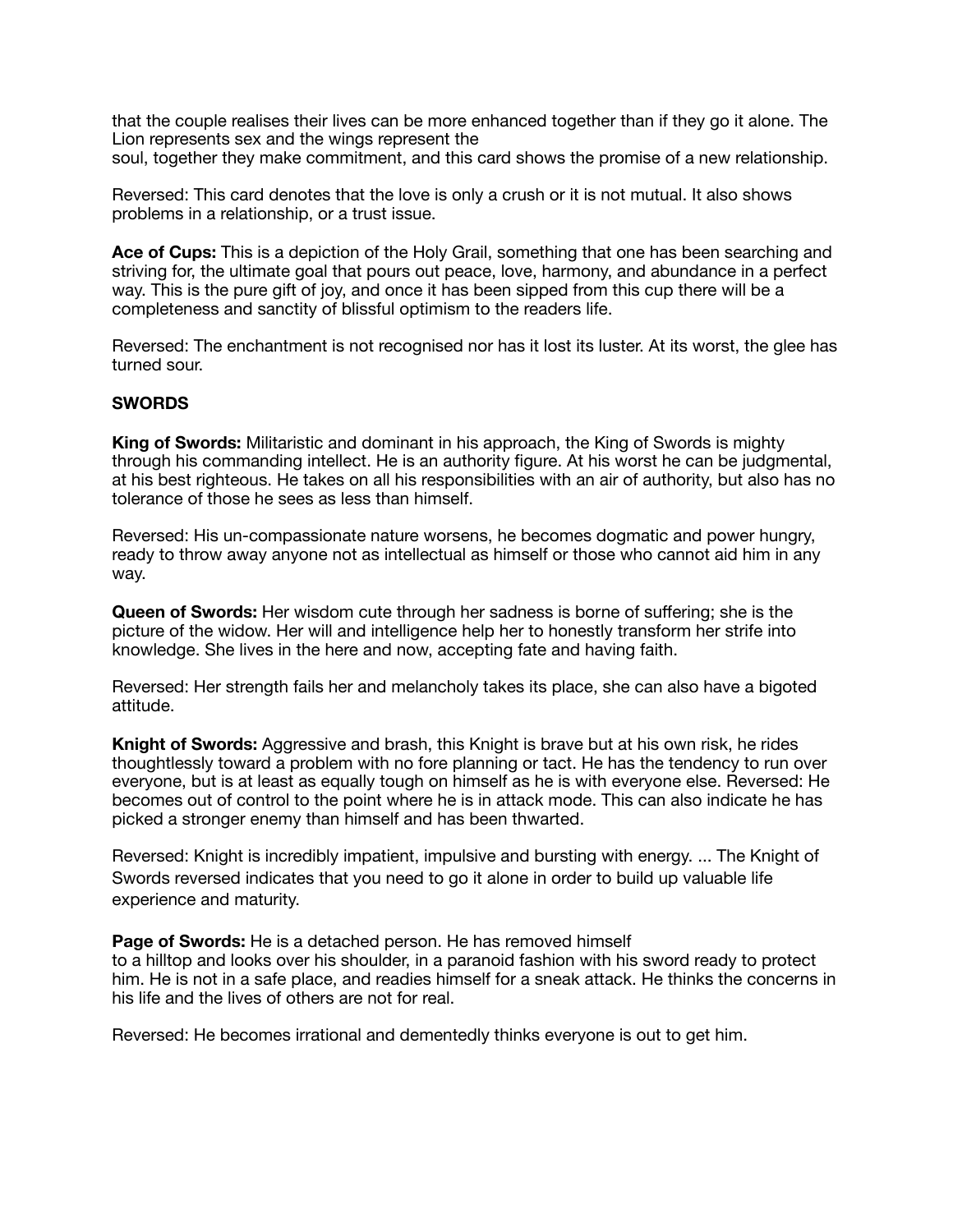that the couple realises their lives can be more enhanced together than if they go it alone. The Lion represents sex and the wings represent the soul, together they make commitment, and this card shows the promise of a new relationship.

Reversed: This card denotes that the love is only a crush or it is not mutual. It also shows problems in a relationship, or a trust issue.

**Ace of Cups:** This is a depiction of the Holy Grail, something that one has been searching and striving for, the ultimate goal that pours out peace, love, harmony, and abundance in a perfect way. This is the pure gift of joy, and once it has been sipped from this cup there will be a completeness and sanctity of blissful optimism to the readers life.

Reversed: The enchantment is not recognised nor has it lost its luster. At its worst, the glee has turned sour.

#### **SWORDS**

**King of Swords:** Militaristic and dominant in his approach, the King of Swords is mighty through his commanding intellect. He is an authority figure. At his worst he can be judgmental, at his best righteous. He takes on all his responsibilities with an air of authority, but also has no tolerance of those he sees as less than himself.

Reversed: His un-compassionate nature worsens, he becomes dogmatic and power hungry, ready to throw away anyone not as intellectual as himself or those who cannot aid him in any way.

**Queen of Swords:** Her wisdom cute through her sadness is borne of suffering; she is the picture of the widow. Her will and intelligence help her to honestly transform her strife into knowledge. She lives in the here and now, accepting fate and having faith.

Reversed: Her strength fails her and melancholy takes its place, she can also have a bigoted attitude.

**Knight of Swords:** Aggressive and brash, this Knight is brave but at his own risk, he rides thoughtlessly toward a problem with no fore planning or tact. He has the tendency to run over everyone, but is at least as equally tough on himself as he is with everyone else. Reversed: He becomes out of control to the point where he is in attack mode. This can also indicate he has picked a stronger enemy than himself and has been thwarted.

Reversed: Knight is incredibly impatient, impulsive and bursting with energy. ... The Knight of Swords reversed indicates that you need to go it alone in order to build up valuable life experience and maturity.

**Page of Swords:** He is a detached person. He has removed himself to a hilltop and looks over his shoulder, in a paranoid fashion with his sword ready to protect him. He is not in a safe place, and readies himself for a sneak attack. He thinks the concerns in his life and the lives of others are not for real.

Reversed: He becomes irrational and dementedly thinks everyone is out to get him.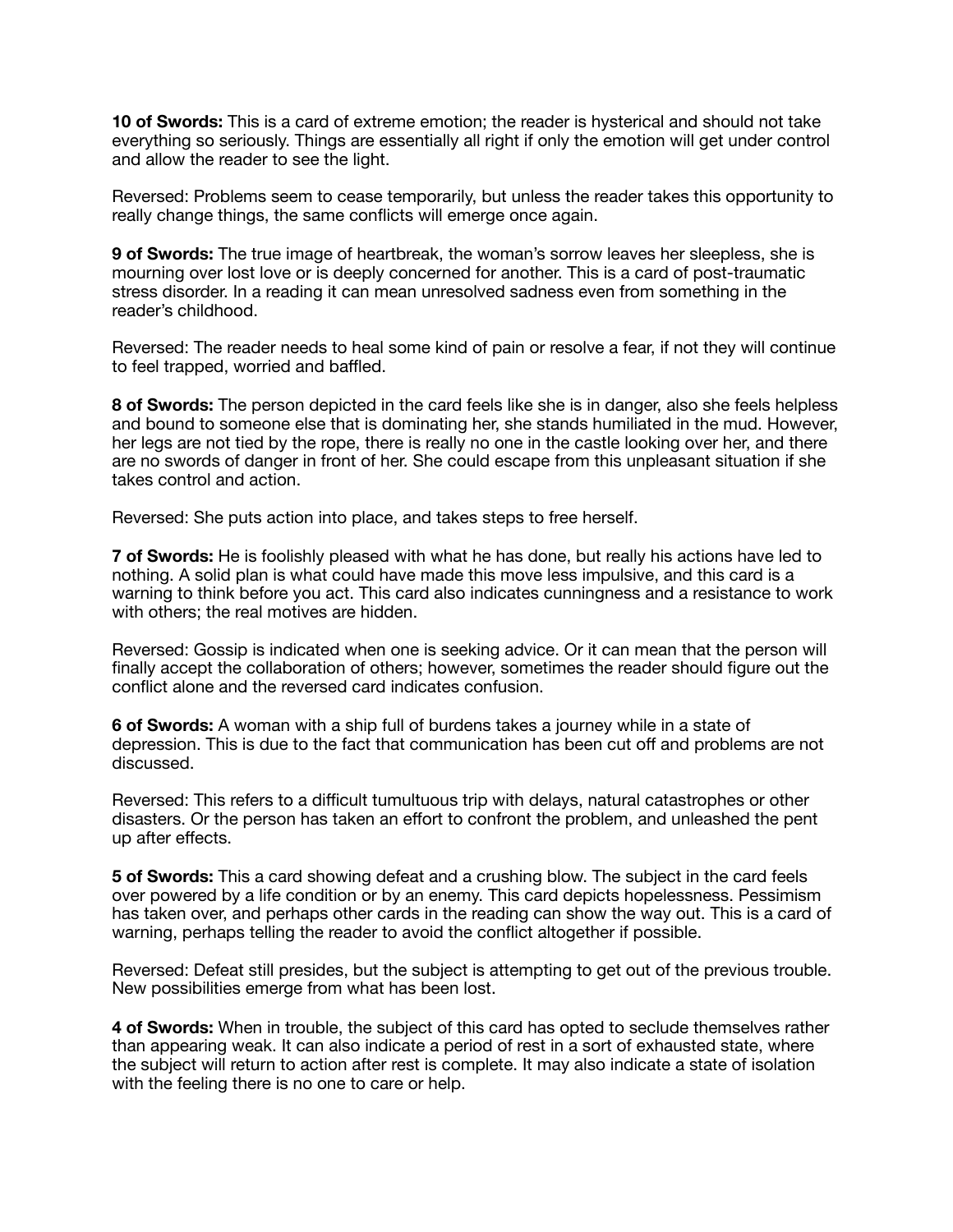**10 of Swords:** This is a card of extreme emotion; the reader is hysterical and should not take everything so seriously. Things are essentially all right if only the emotion will get under control and allow the reader to see the light.

Reversed: Problems seem to cease temporarily, but unless the reader takes this opportunity to really change things, the same conflicts will emerge once again.

**9 of Swords:** The true image of heartbreak, the woman's sorrow leaves her sleepless, she is mourning over lost love or is deeply concerned for another. This is a card of post-traumatic stress disorder. In a reading it can mean unresolved sadness even from something in the reader's childhood.

Reversed: The reader needs to heal some kind of pain or resolve a fear, if not they will continue to feel trapped, worried and baffled.

**8 of Swords:** The person depicted in the card feels like she is in danger, also she feels helpless and bound to someone else that is dominating her, she stands humiliated in the mud. However, her legs are not tied by the rope, there is really no one in the castle looking over her, and there are no swords of danger in front of her. She could escape from this unpleasant situation if she takes control and action.

Reversed: She puts action into place, and takes steps to free herself.

**7 of Swords:** He is foolishly pleased with what he has done, but really his actions have led to nothing. A solid plan is what could have made this move less impulsive, and this card is a warning to think before you act. This card also indicates cunningness and a resistance to work with others; the real motives are hidden.

Reversed: Gossip is indicated when one is seeking advice. Or it can mean that the person will finally accept the collaboration of others; however, sometimes the reader should figure out the conflict alone and the reversed card indicates confusion.

**6 of Swords:** A woman with a ship full of burdens takes a journey while in a state of depression. This is due to the fact that communication has been cut off and problems are not discussed.

Reversed: This refers to a difficult tumultuous trip with delays, natural catastrophes or other disasters. Or the person has taken an effort to confront the problem, and unleashed the pent up after effects.

**5 of Swords:** This a card showing defeat and a crushing blow. The subject in the card feels over powered by a life condition or by an enemy. This card depicts hopelessness. Pessimism has taken over, and perhaps other cards in the reading can show the way out. This is a card of warning, perhaps telling the reader to avoid the conflict altogether if possible.

Reversed: Defeat still presides, but the subject is attempting to get out of the previous trouble. New possibilities emerge from what has been lost.

**4 of Swords:** When in trouble, the subject of this card has opted to seclude themselves rather than appearing weak. It can also indicate a period of rest in a sort of exhausted state, where the subject will return to action after rest is complete. It may also indicate a state of isolation with the feeling there is no one to care or help.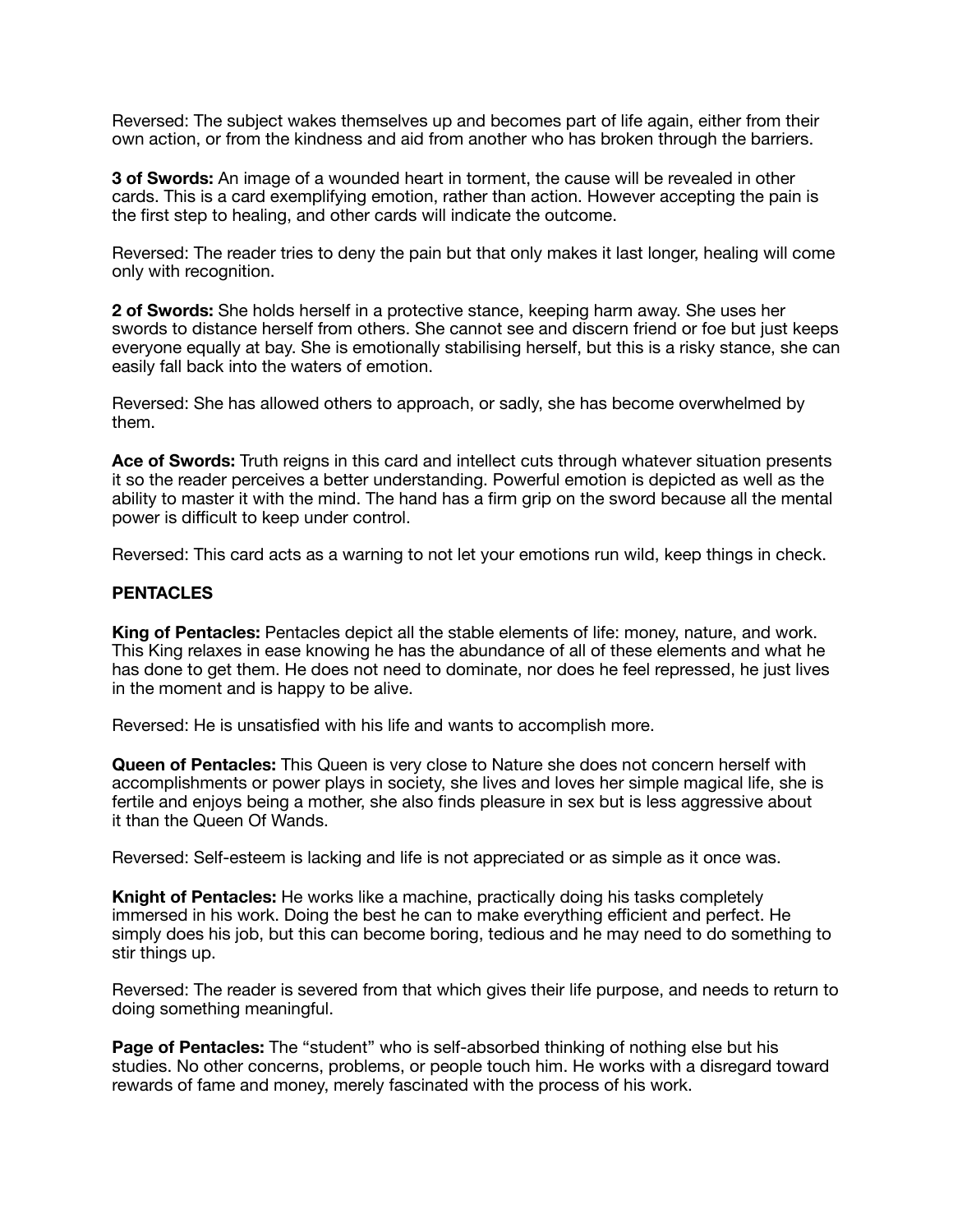Reversed: The subject wakes themselves up and becomes part of life again, either from their own action, or from the kindness and aid from another who has broken through the barriers.

**3 of Swords:** An image of a wounded heart in torment, the cause will be revealed in other cards. This is a card exemplifying emotion, rather than action. However accepting the pain is the first step to healing, and other cards will indicate the outcome.

Reversed: The reader tries to deny the pain but that only makes it last longer, healing will come only with recognition.

**2 of Swords:** She holds herself in a protective stance, keeping harm away. She uses her swords to distance herself from others. She cannot see and discern friend or foe but just keeps everyone equally at bay. She is emotionally stabilising herself, but this is a risky stance, she can easily fall back into the waters of emotion.

Reversed: She has allowed others to approach, or sadly, she has become overwhelmed by them.

**Ace of Swords:** Truth reigns in this card and intellect cuts through whatever situation presents it so the reader perceives a better understanding. Powerful emotion is depicted as well as the ability to master it with the mind. The hand has a firm grip on the sword because all the mental power is difficult to keep under control.

Reversed: This card acts as a warning to not let your emotions run wild, keep things in check.

#### **PENTACLES**

**King of Pentacles:** Pentacles depict all the stable elements of life: money, nature, and work. This King relaxes in ease knowing he has the abundance of all of these elements and what he has done to get them. He does not need to dominate, nor does he feel repressed, he just lives in the moment and is happy to be alive.

Reversed: He is unsatisfied with his life and wants to accomplish more.

**Queen of Pentacles:** This Queen is very close to Nature she does not concern herself with accomplishments or power plays in society, she lives and loves her simple magical life, she is fertile and enjoys being a mother, she also finds pleasure in sex but is less aggressive about it than the Queen Of Wands.

Reversed: Self-esteem is lacking and life is not appreciated or as simple as it once was.

**Knight of Pentacles:** He works like a machine, practically doing his tasks completely immersed in his work. Doing the best he can to make everything efficient and perfect. He simply does his job, but this can become boring, tedious and he may need to do something to stir things up.

Reversed: The reader is severed from that which gives their life purpose, and needs to return to doing something meaningful.

**Page of Pentacles:** The "student" who is self-absorbed thinking of nothing else but his studies. No other concerns, problems, or people touch him. He works with a disregard toward rewards of fame and money, merely fascinated with the process of his work.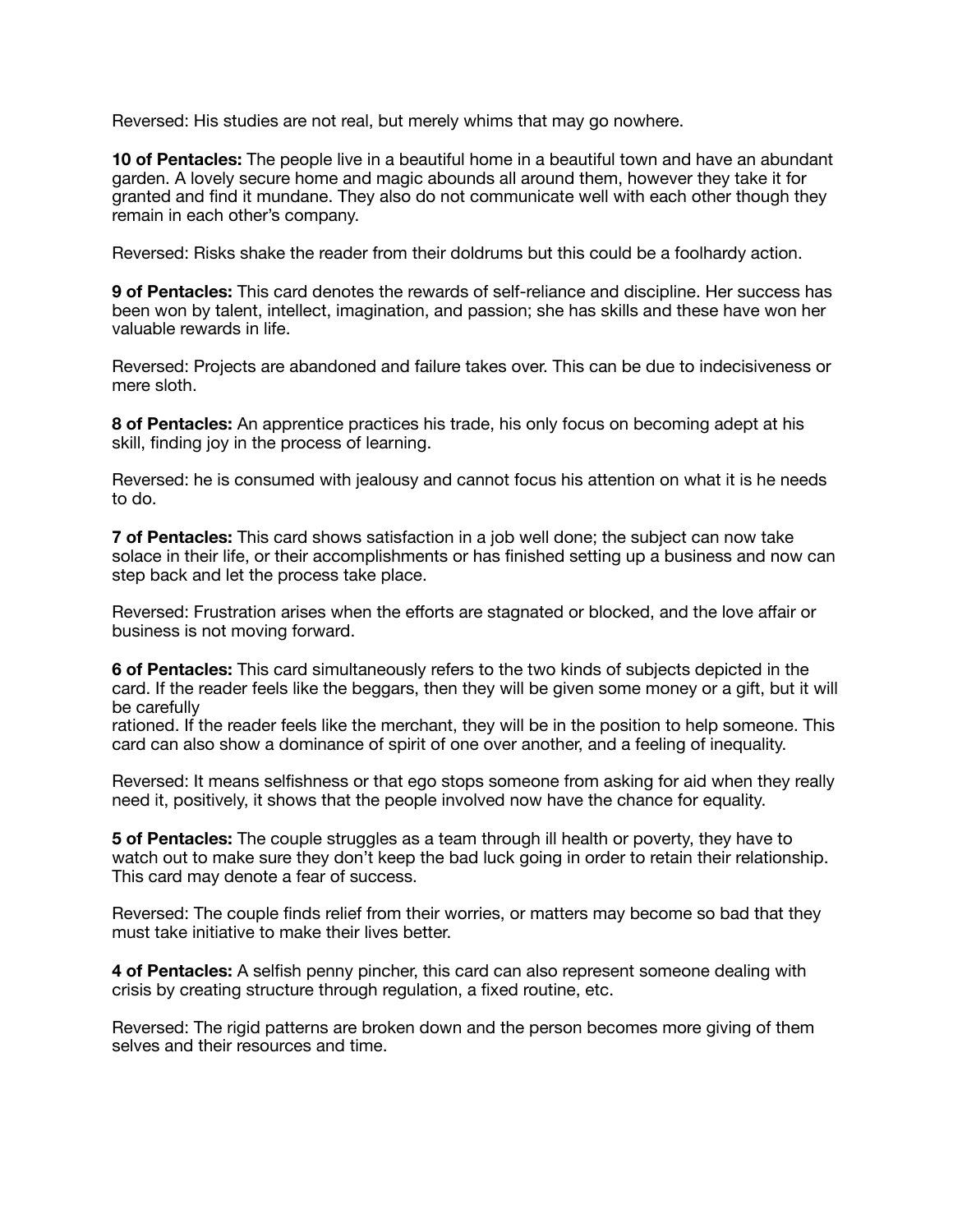Reversed: His studies are not real, but merely whims that may go nowhere.

**10 of Pentacles:** The people live in a beautiful home in a beautiful town and have an abundant garden. A lovely secure home and magic abounds all around them, however they take it for granted and find it mundane. They also do not communicate well with each other though they remain in each other's company.

Reversed: Risks shake the reader from their doldrums but this could be a foolhardy action.

**9 of Pentacles:** This card denotes the rewards of self-reliance and discipline. Her success has been won by talent, intellect, imagination, and passion; she has skills and these have won her valuable rewards in life.

Reversed: Projects are abandoned and failure takes over. This can be due to indecisiveness or mere sloth.

**8 of Pentacles:** An apprentice practices his trade, his only focus on becoming adept at his skill, finding joy in the process of learning.

Reversed: he is consumed with jealousy and cannot focus his attention on what it is he needs to do.

**7 of Pentacles:** This card shows satisfaction in a job well done; the subject can now take solace in their life, or their accomplishments or has finished setting up a business and now can step back and let the process take place.

Reversed: Frustration arises when the efforts are stagnated or blocked, and the love affair or business is not moving forward.

**6 of Pentacles:** This card simultaneously refers to the two kinds of subjects depicted in the card. If the reader feels like the beggars, then they will be given some money or a gift, but it will be carefully

rationed. If the reader feels like the merchant, they will be in the position to help someone. This card can also show a dominance of spirit of one over another, and a feeling of inequality.

Reversed: It means selfishness or that ego stops someone from asking for aid when they really need it, positively, it shows that the people involved now have the chance for equality.

**5 of Pentacles:** The couple struggles as a team through ill health or poverty, they have to watch out to make sure they don't keep the bad luck going in order to retain their relationship. This card may denote a fear of success.

Reversed: The couple finds relief from their worries, or matters may become so bad that they must take initiative to make their lives better.

**4 of Pentacles:** A selfish penny pincher, this card can also represent someone dealing with crisis by creating structure through regulation, a fixed routine, etc.

Reversed: The rigid patterns are broken down and the person becomes more giving of them selves and their resources and time.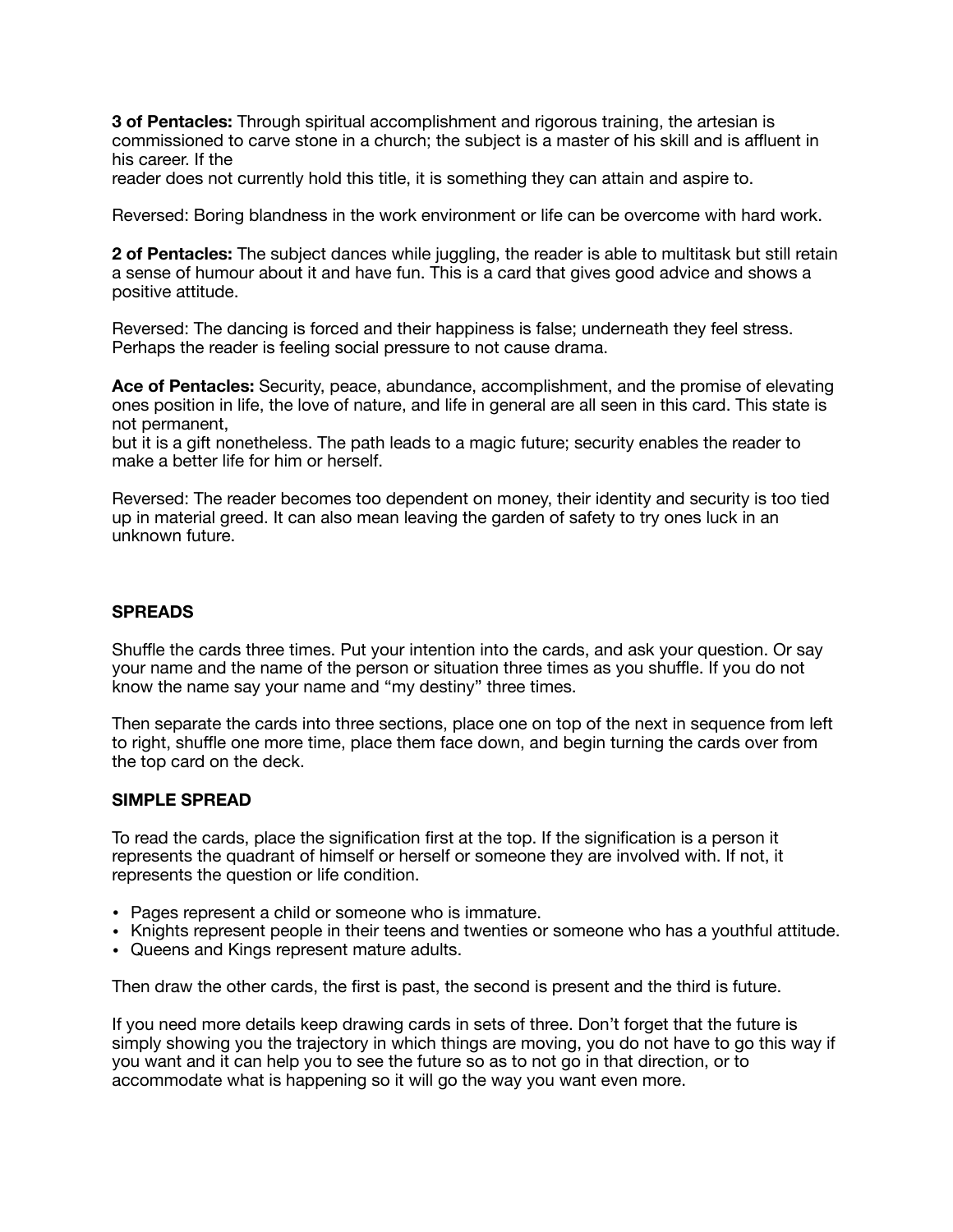**3 of Pentacles:** Through spiritual accomplishment and rigorous training, the artesian is commissioned to carve stone in a church; the subject is a master of his skill and is affluent in his career. If the

reader does not currently hold this title, it is something they can attain and aspire to.

Reversed: Boring blandness in the work environment or life can be overcome with hard work.

**2 of Pentacles:** The subject dances while juggling, the reader is able to multitask but still retain a sense of humour about it and have fun. This is a card that gives good advice and shows a positive attitude.

Reversed: The dancing is forced and their happiness is false; underneath they feel stress. Perhaps the reader is feeling social pressure to not cause drama.

**Ace of Pentacles:** Security, peace, abundance, accomplishment, and the promise of elevating ones position in life, the love of nature, and life in general are all seen in this card. This state is not permanent,

but it is a gift nonetheless. The path leads to a magic future; security enables the reader to make a better life for him or herself.

Reversed: The reader becomes too dependent on money, their identity and security is too tied up in material greed. It can also mean leaving the garden of safety to try ones luck in an unknown future.

#### **SPREADS**

Shuffle the cards three times. Put your intention into the cards, and ask your question. Or say your name and the name of the person or situation three times as you shuffle. If you do not know the name say your name and "my destiny" three times.

Then separate the cards into three sections, place one on top of the next in sequence from left to right, shuffle one more time, place them face down, and begin turning the cards over from the top card on the deck.

#### **SIMPLE SPREAD**

To read the cards, place the signification first at the top. If the signification is a person it represents the quadrant of himself or herself or someone they are involved with. If not, it represents the question or life condition.

- Pages represent a child or someone who is immature.
- Knights represent people in their teens and twenties or someone who has a youthful attitude.
- Queens and Kings represent mature adults.

Then draw the other cards, the first is past, the second is present and the third is future.

If you need more details keep drawing cards in sets of three. Don't forget that the future is simply showing you the trajectory in which things are moving, you do not have to go this way if you want and it can help you to see the future so as to not go in that direction, or to accommodate what is happening so it will go the way you want even more.